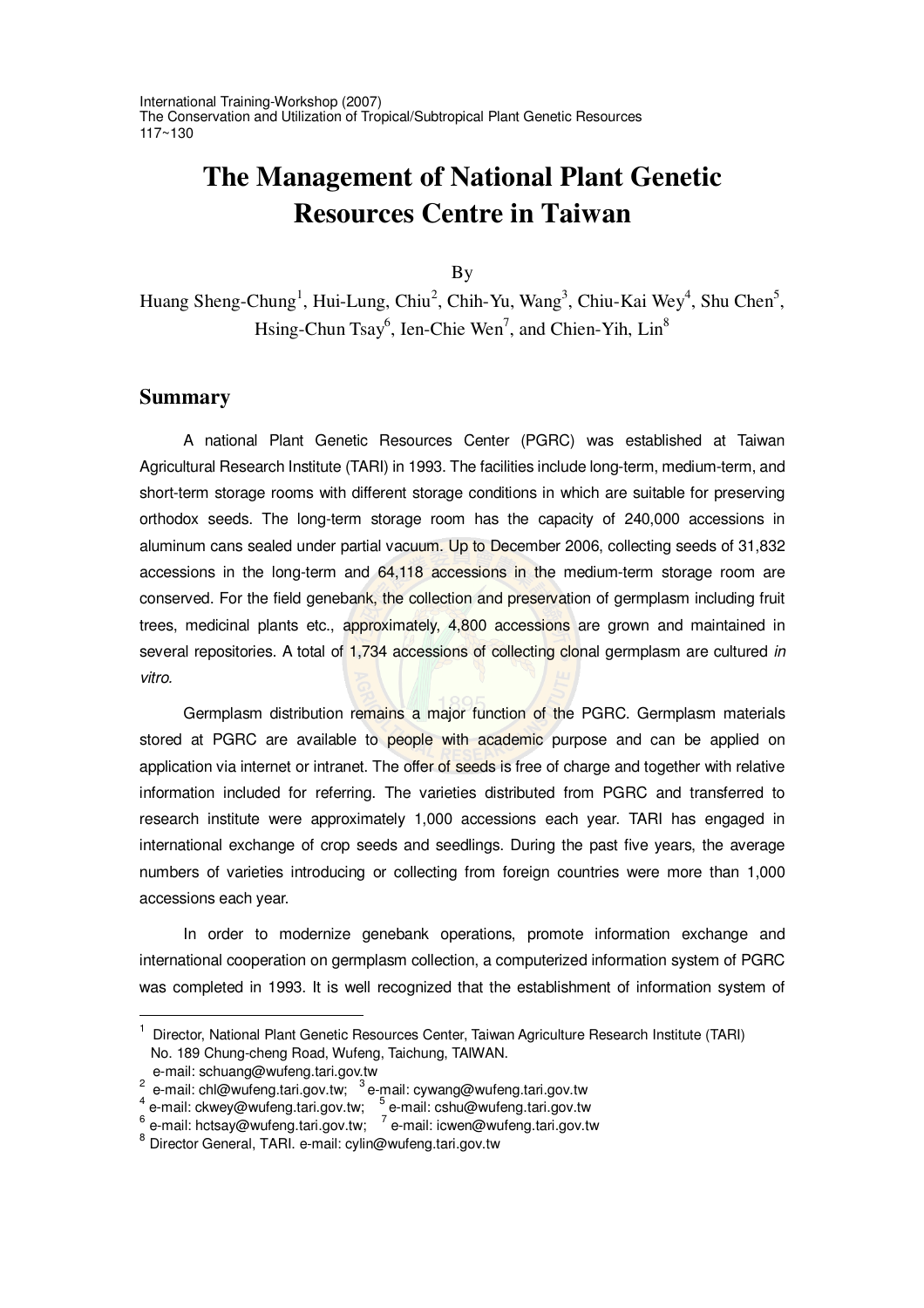International Training-Workshop (2007) The Conservation and Utilization of Tropical/Subtropical Plant Genetic Resources 117~130

# **The Management of National Plant Genetic Resources Centre in Taiwan**

By

Huang Sheng-Chung<sup>1</sup>, Hui-Lung, Chiu<sup>2</sup>, Chih-Yu, Wang<sup>3</sup>, Chiu-Kai Wey<sup>4</sup>, Shu Chen<sup>5</sup>, Hsing-Chun Tsay<sup>6</sup>, Ien-Chie Wen<sup>7</sup>, and Chien-Yih, Lin<sup>8</sup>

## **Summary**

A national Plant Genetic Resources Center (PGRC) was established at Taiwan Agricultural Research Institute (TARI) in 1993. The facilities include long-term, medium-term, and short-term storage rooms with different storage conditions in which are suitable for preserving orthodox seeds. The long-term storage room has the capacity of 240,000 accessions in aluminum cans sealed under partial vacuum. Up to December 2006, collecting seeds of 31,832 accessions in the long-term and 64,118 accessions in the medium-term storage room are conserved. For the field genebank, the collection and preservation of germplasm including fruit trees, medicinal plants etc., approximately, 4,800 accessions are grown and maintained in several repositories. A total of 1,734 accessions of collecting clonal germplasm are cultured *in vitro.*

Germplasm distribution remains a major function of the PGRC. Germplasm materials stored at PGRC are available to people with academic purpose and can be applied on application via internet or intranet. The offer of seeds is free of charge and together with relative information included for referring. The varieties distributed from PGRC and transferred to research institute were approximately 1,000 accessions each year. TARI has engaged in international exchange of crop seeds and seedlings. During the past five years, the average numbers of varieties introducing or collecting from foreign countries were more than 1,000 accessions each year.

In order to modernize genebank operations, promote information exchange and international cooperation on germplasm collection, a computerized information system of PGRC was completed in 1993. It is well recognized that the establishment of information system of

<sup>&</sup>lt;sup>1</sup> Director, National Plant Genetic Resources Center, Taiwan Agriculture Research Institute (TARI) No. 189 Chung-cheng Road, Wufeng, Taichung, TAIWAN.

e-mail: schuang@wufeng.tari.gov.tw<br>
<sup>2</sup> e-mail: chl@wufeng.tari.gov.tw; <sup>3</sup> e-mail: cywang@wufeng.tari.gov.tw<br>
<sup>4</sup> e-mail: ckwey@wufeng.tari.gov.tw; <sup>5</sup> e-mail: cshu@wufeng.tari.gov.tw<br>
<sup>6</sup> e-mail: hctsay@wufeng.tari.gov.t

<sup>8</sup> Director General, TARI. e-mail: cylin@wufeng.tari.gov.tw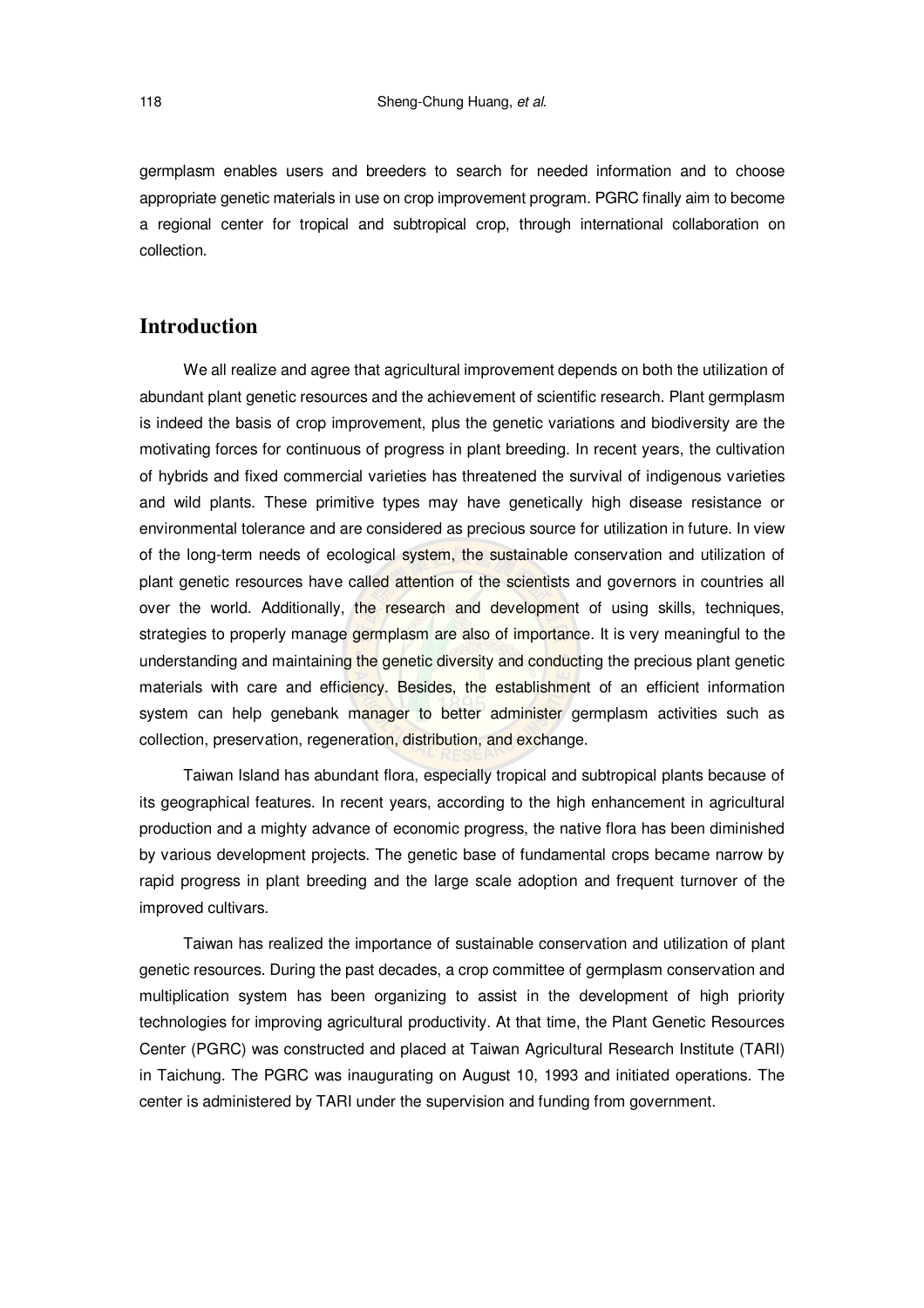germplasm enables users and breeders to search for needed information and to choose appropriate genetic materials in use on crop improvement program. PGRC finally aim to become a regional center for tropical and subtropical crop, through international collaboration on collection.

# **Introduction**

We all realize and agree that agricultural improvement depends on both the utilization of abundant plant genetic resources and the achievement of scientific research. Plant germplasm is indeed the basis of crop improvement, plus the genetic variations and biodiversity are the motivating forces for continuous of progress in plant breeding. In recent years, the cultivation of hybrids and fixed commercial varieties has threatened the survival of indigenous varieties and wild plants. These primitive types may have genetically high disease resistance or environmental tolerance and are considered as precious source for utilization in future. In view of the long-term needs of ecological system, the sustainable conservation and utilization of plant genetic resources have called attention of the scientists and governors in countries all over the world. Additionally, the research and development of using skills, techniques, strategies to properly manage germplasm are also of importance. It is very meaningful to the understanding and maintaining the genetic diversity and conducting the precious plant genetic materials with care and efficiency. Besides, the establishment of an efficient information system can help genebank manager to better administer germplasm activities such as collection, preservation, regeneration, distribution, and exchange.

Taiwan Island has abundant flora, especially tropical and subtropical plants because of its geographical features. In recent years, according to the high enhancement in agricultural production and a mighty advance of economic progress, the native flora has been diminished by various development projects. The genetic base of fundamental crops became narrow by rapid progress in plant breeding and the large scale adoption and frequent turnover of the improved cultivars.

Taiwan has realized the importance of sustainable conservation and utilization of plant genetic resources. During the past decades, a crop committee of germplasm conservation and multiplication system has been organizing to assist in the development of high priority technologies for improving agricultural productivity. At that time, the Plant Genetic Resources Center (PGRC) was constructed and placed at Taiwan Agricultural Research Institute (TARI) in Taichung. The PGRC was inaugurating on August 10, 1993 and initiated operations. The center is administered by TARI under the supervision and funding from government.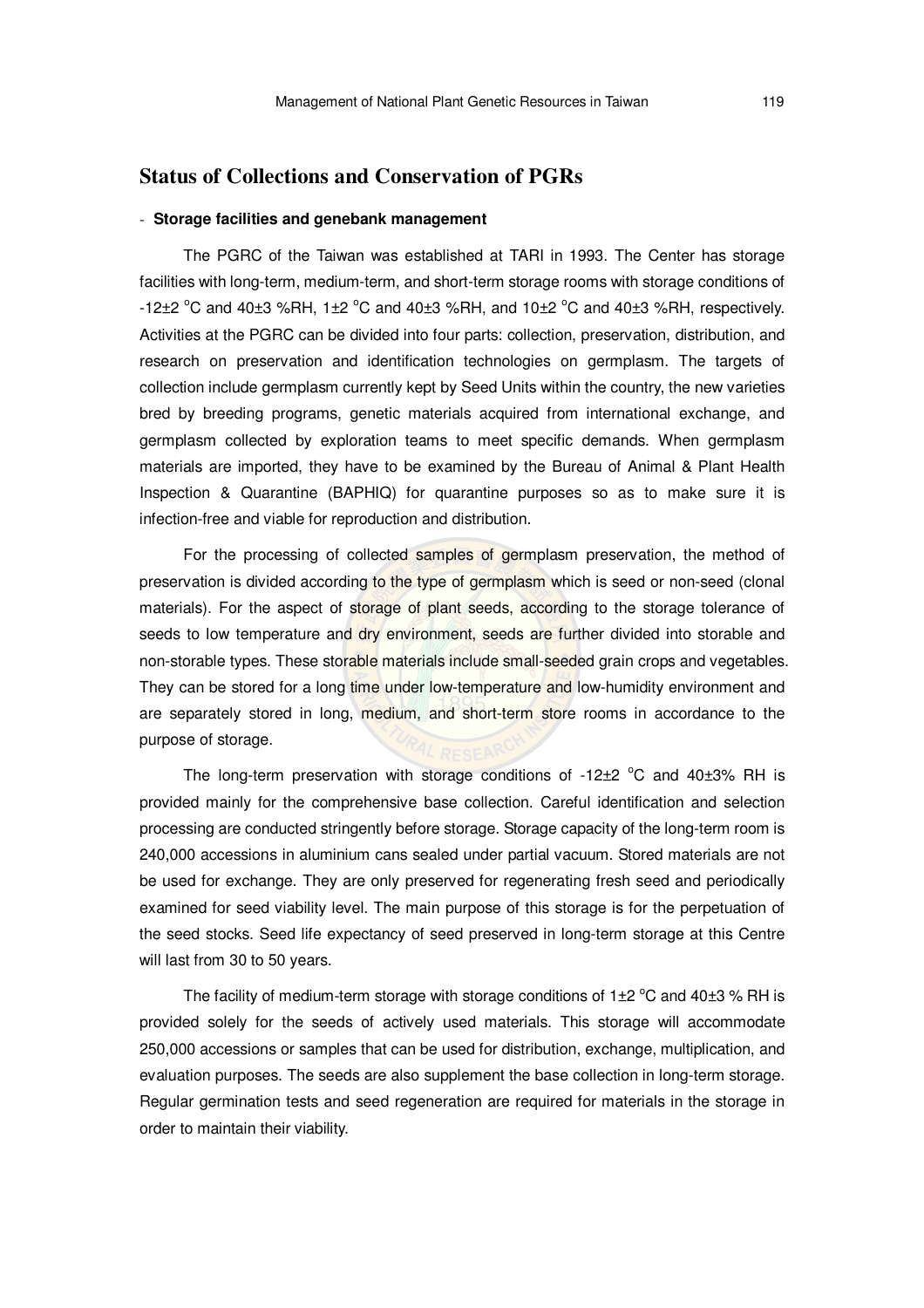## **Status of Collections and Conservation of PGRs**

## - **Storage facilities and genebank management**

The PGRC of the Taiwan was established at TARI in 1993. The Center has storage facilities with long-term, medium-term, and short-term storage rooms with storage conditions of -12 $\pm$ 2 °C and 40 $\pm$ 3 %RH, 1 $\pm$ 2 °C and 40 $\pm$ 3 %RH, and 10 $\pm$ 2 °C and 40 $\pm$ 3 %RH, respectively. Activities at the PGRC can be divided into four parts: collection, preservation, distribution, and research on preservation and identification technologies on germplasm. The targets of collection include germplasm currently kept by Seed Units within the country, the new varieties bred by breeding programs, genetic materials acquired from international exchange, and germplasm collected by exploration teams to meet specific demands. When germplasm materials are imported, they have to be examined by the Bureau of Animal & Plant Health Inspection & Quarantine (BAPHIQ) for quarantine purposes so as to make sure it is infection-free and viable for reproduction and distribution.

For the processing of collected samples of germplasm preservation, the method of preservation is divided according to the type of germplasm which is seed or non-seed (clonal materials). For the aspect of storage of plant seeds, according to the storage tolerance of seeds to low temperature and dry environment, seeds are further divided into storable and non-storable types. These storable materials include small-seeded grain crops and vegetables. They can be stored for a long time under low-temperature and low-humidity environment and are separately stored in long, medium, and short-term store rooms in accordance to the purpose of storage.

The long-term preservation with storage conditions of  $-12\pm2$  °C and 40 $\pm3\%$  RH is provided mainly for the comprehensive base collection. Careful identification and selection processing are conducted stringently before storage. Storage capacity of the long-term room is 240,000 accessions in aluminium cans sealed under partial vacuum. Stored materials are not be used for exchange. They are only preserved for regenerating fresh seed and periodically examined for seed viability level. The main purpose of this storage is for the perpetuation of the seed stocks. Seed life expectancy of seed preserved in long-term storage at this Centre will last from 30 to 50 years.

The facility of medium-term storage with storage conditions of  $1\pm 2$  °C and 40 $\pm 3$  % RH is provided solely for the seeds of actively used materials. This storage will accommodate 250,000 accessions or samples that can be used for distribution, exchange, multiplication, and evaluation purposes. The seeds are also supplement the base collection in long-term storage. Regular germination tests and seed regeneration are required for materials in the storage in order to maintain their viability.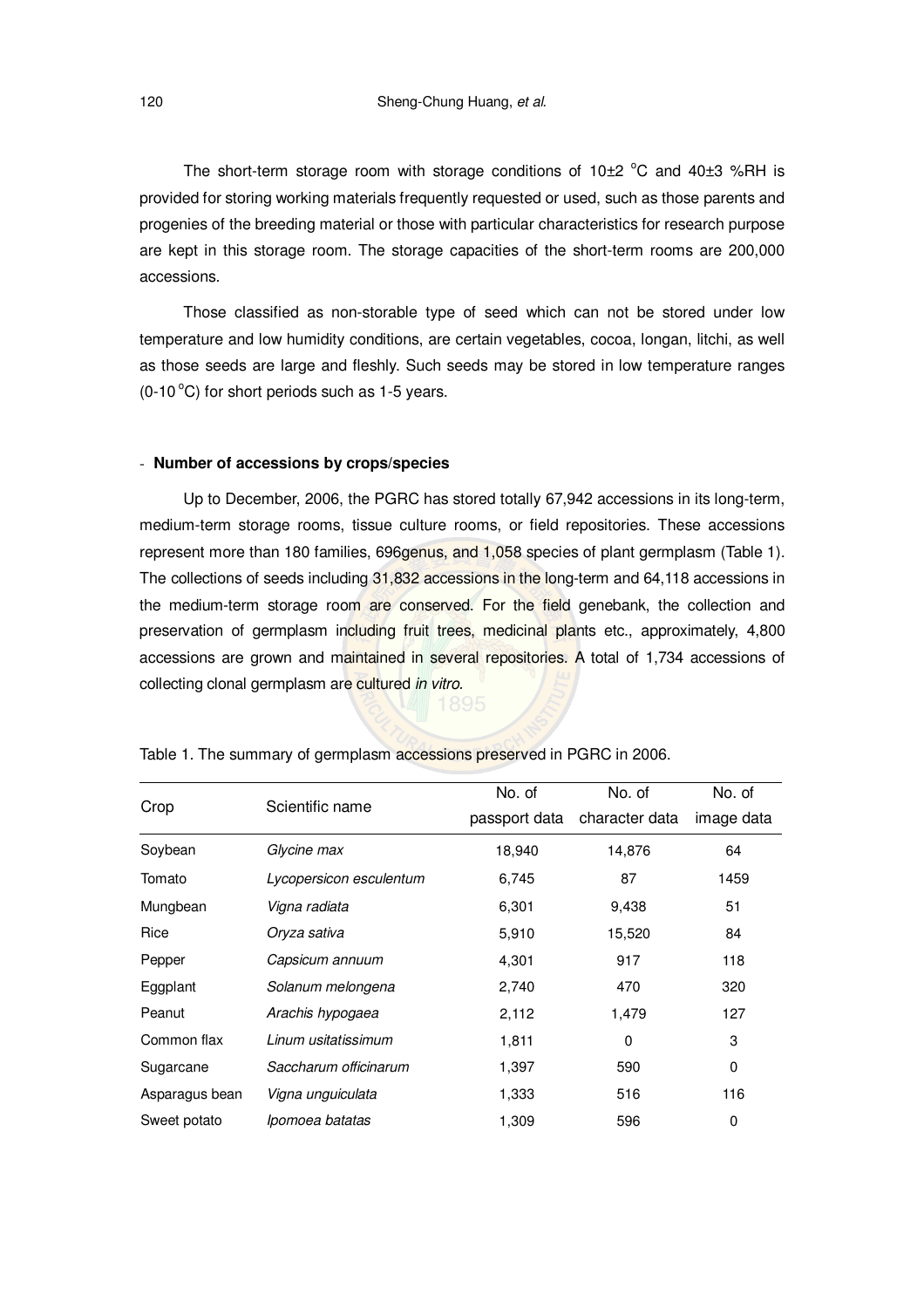The short-term storage room with storage conditions of 10 $\pm$ 2 °C and 40 $\pm$ 3 %RH is provided for storing working materials frequently requested or used, such as those parents and progenies of the breeding material or those with particular characteristics for research purpose are kept in this storage room. The storage capacities of the short-term rooms are 200,000 accessions.

Those classified as non-storable type of seed which can not be stored under low temperature and low humidity conditions, are certain vegetables, cocoa, longan, litchi, as well as those seeds are large and fleshly. Such seeds may be stored in low temperature ranges  $(0-10\degree C)$  for short periods such as 1-5 years.

#### - **Number of accessions by crops/species**

Up to December, 2006, the PGRC has stored totally 67,942 accessions in its long-term, medium-term storage rooms, tissue culture rooms, or field repositories. These accessions represent more than 180 families, 696genus, and 1,058 species of plant germplasm (Table 1). The collections of seeds including 31,832 accessions in the long-term and 64,118 accessions in the medium-term storage room are conserved. For the field genebank, the collection and preservation of germplasm including fruit trees, medicinal plants etc., approximately, 4,800 accessions are grown and maintained in several repositories. A total of 1,734 accessions of collecting clonal germplasm are cultured *in vitro.*

| Crop           |                         | No. of | No. of                       | No. of     |
|----------------|-------------------------|--------|------------------------------|------------|
|                | Scientific name         |        | passport data character data | image data |
| Soybean        | Glycine max             | 18,940 | 14,876                       | 64         |
| Tomato         | Lycopersicon esculentum | 6,745  | 87                           | 1459       |
| Mungbean       | Vigna radiata           | 6,301  | 9,438                        | 51         |
| Rice           | Oryza sativa            | 5,910  | 15,520                       | 84         |
| Pepper         | Capsicum annuum         | 4,301  | 917                          | 118        |
| Eggplant       | Solanum melongena       | 2,740  | 470                          | 320        |
| Peanut         | Arachis hypogaea        | 2,112  | 1,479                        | 127        |
| Common flax    | Linum usitatissimum     | 1,811  | 0                            | 3          |
| Sugarcane      | Saccharum officinarum   | 1,397  | 590                          | 0          |
| Asparagus bean | Vigna unguiculata       | 1,333  | 516                          | 116        |
| Sweet potato   | Ipomoea batatas         | 1,309  | 596                          | 0          |

Table 1. The summary of germplasm accessions preserved in PGRC in 2006.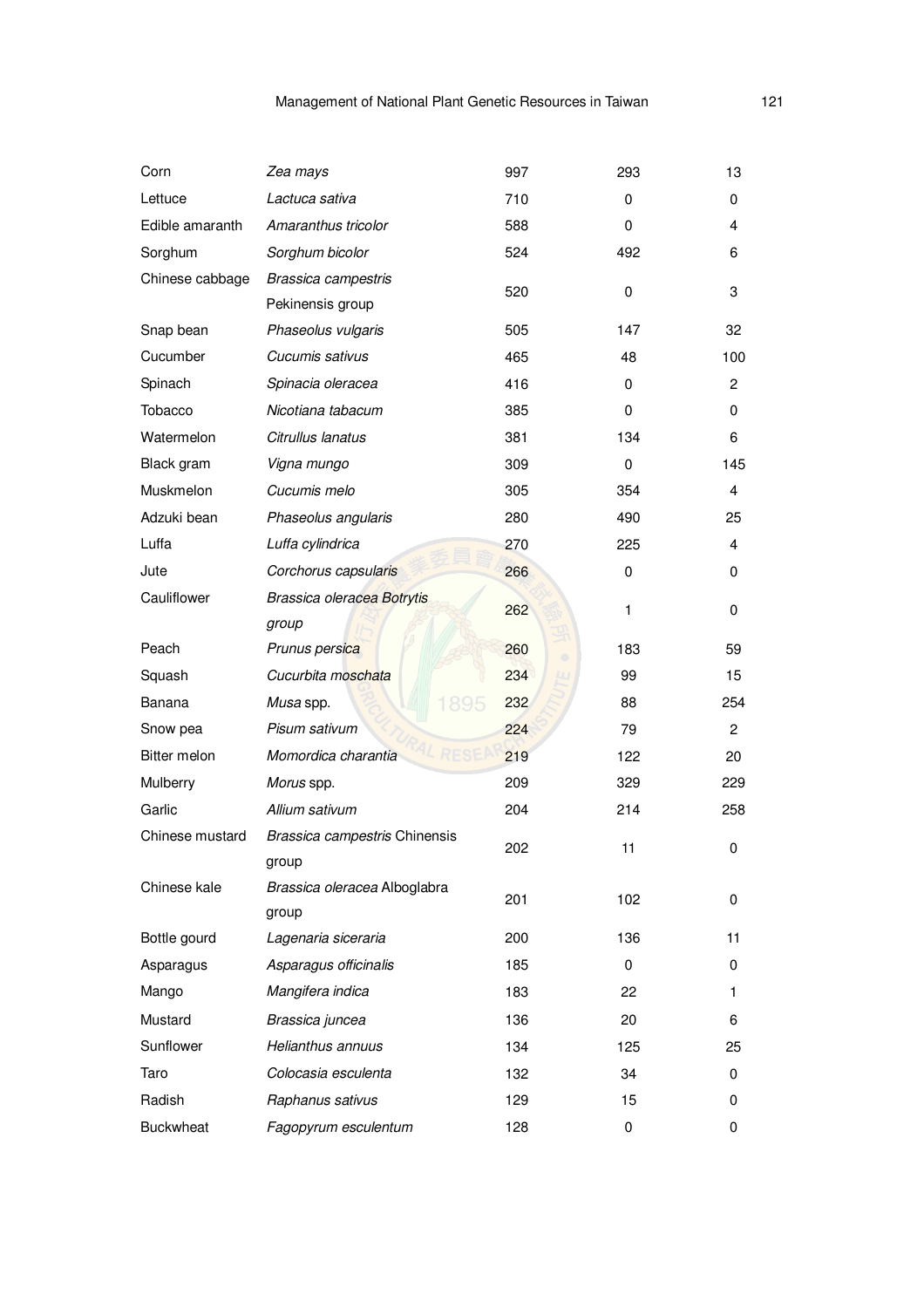| Corn                                | Zea mays                                | 997 | 293          | 13             |
|-------------------------------------|-----------------------------------------|-----|--------------|----------------|
| Lettuce                             | Lactuca sativa                          | 710 | 0            | 0              |
| Edible amaranth                     | Amaranthus tricolor                     | 588 | $\mathbf 0$  | 4              |
| Sorghum                             | Sorghum bicolor                         | 524 | 492          | 6              |
| Chinese cabbage                     | Brassica campestris<br>Pekinensis group | 520 | 0            | 3              |
| Snap bean                           | Phaseolus vulgaris                      | 505 | 147          | 32             |
| Cucumber                            | Cucumis sativus                         | 465 | 48           | 100            |
| Spinach                             | Spinacia oleracea                       | 416 | $\mathbf 0$  | $\overline{c}$ |
| Tobacco                             | Nicotiana tabacum                       | 385 | 0            | 0              |
| Watermelon                          | Citrullus lanatus                       | 381 | 134          | 6              |
| Black gram                          | Vigna mungo                             | 309 | $\mathbf 0$  | 145            |
| Muskmelon                           | Cucumis melo                            | 305 | 354          | 4              |
| Adzuki bean                         | Phaseolus angularis                     | 280 | 490          | 25             |
| Luffa                               | Luffa cylindrica                        | 270 | 225          | 4              |
| Jute                                | Corchorus capsularis                    | 266 | 0            | 0              |
| Cauliflower                         | Brassica oleracea Botrytis              |     |              |                |
|                                     | group                                   | 262 | $\mathbf{1}$ | 0              |
| Peach                               | Prunus persica                          | 260 | 183          | 59             |
| Squash                              | Cucurbita moschata                      | 234 | 99           | 15             |
| Banana                              | 1895<br>Musa spp.                       | 232 | 88           | 254            |
| Snow pea                            | Pisum sativum                           | 224 | 79           | $\overline{c}$ |
| Bitter melon<br>Momordica charantia |                                         | 219 | 122          | 20             |
| Mulberry                            | Morus spp.                              |     | 329          | 229            |
| Garlic                              | Allium sativum                          | 204 | 214          | 258            |
| Chinese mustard                     | Brassica campestris Chinensis           | 202 | 11           | 0              |
|                                     | group                                   |     |              |                |
| Chinese kale                        | Brassica oleracea Alboglabra            | 201 | 102          | 0              |
|                                     | group                                   |     |              |                |
| Bottle gourd                        | Lagenaria siceraria                     | 200 | 136          | 11             |
| Asparagus                           | Asparagus officinalis                   | 185 | $\mathbf 0$  | 0              |
| Mango                               | Mangifera indica                        | 183 | 22           | 1              |
| Mustard                             | Brassica juncea                         | 136 | 20           | 6              |
| Sunflower                           | Helianthus annuus                       | 134 | 125          | 25             |
| Taro                                | Colocasia esculenta                     | 132 | 34           | 0              |
| Radish                              | Raphanus sativus                        | 129 | 15           | 0              |
| <b>Buckwheat</b>                    | Fagopyrum esculentum                    | 128 | $\pmb{0}$    | 0              |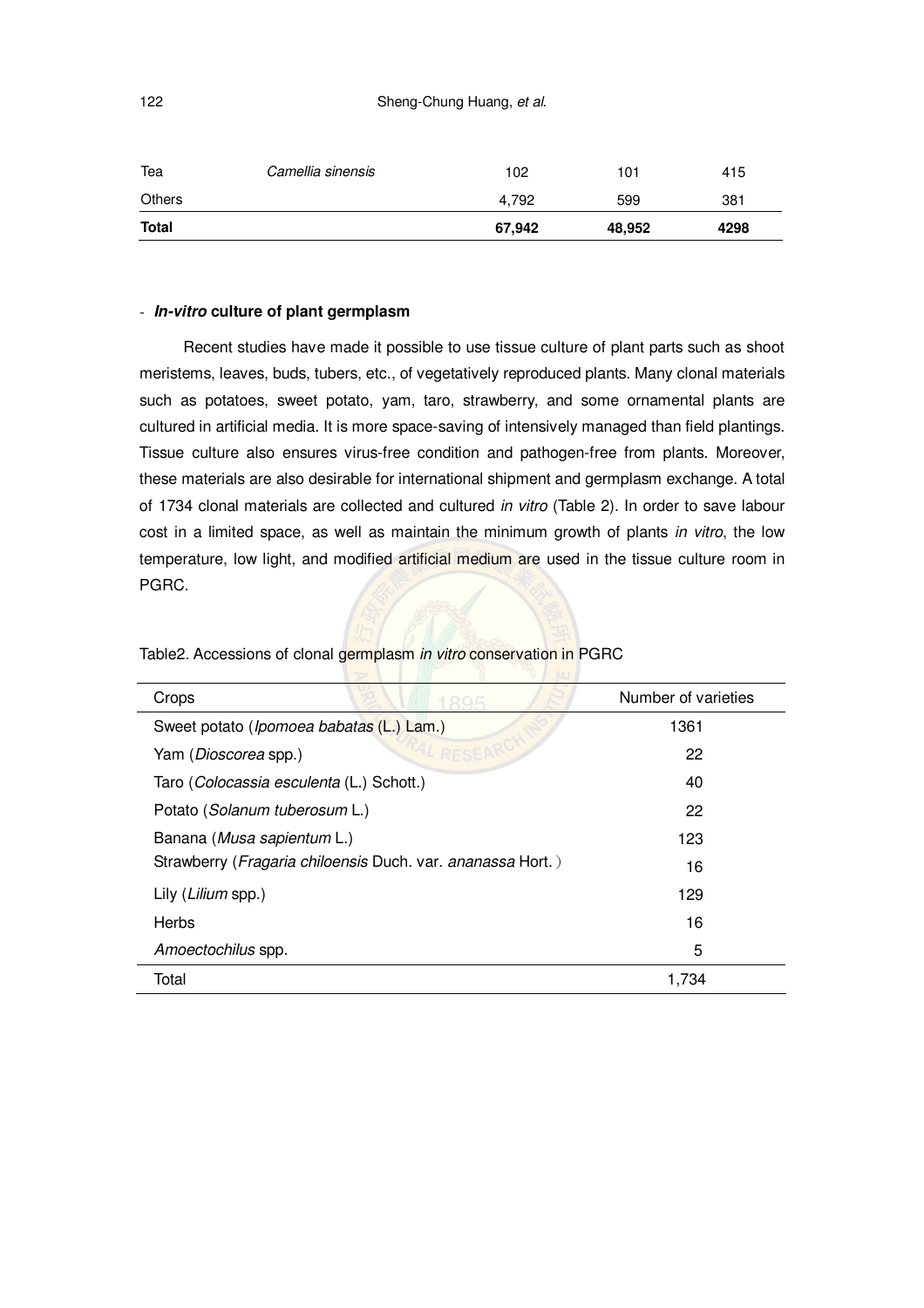| Tea          | Camellia sinensis | 102    | 101    | 415  |
|--------------|-------------------|--------|--------|------|
| Others       |                   | 4.792  | 599    | 381  |
| <b>Total</b> |                   | 67,942 | 48,952 | 4298 |

### - *In-vitro* **culture of plant germplasm**

Recent studies have made it possible to use tissue culture of plant parts such as shoot meristems, leaves, buds, tubers, etc., of vegetatively reproduced plants. Many clonal materials such as potatoes, sweet potato, yam, taro, strawberry, and some ornamental plants are cultured in artificial media. It is more space-saving of intensively managed than field plantings. Tissue culture also ensures virus-free condition and pathogen-free from plants. Moreover, these materials are also desirable for international shipment and germplasm exchange. A total of 1734 clonal materials are collected and cultured *in vitro* (Table 2). In order to save labour cost in a limited space, as well as maintain the minimum growth of plants *in vitro*, the low temperature, low light, and modified artificial medium are used in the tissue culture room in PGRC.

| Crops                                                      | Number of varieties |
|------------------------------------------------------------|---------------------|
| Sweet potato ( <i>Ipomoea babatas</i> (L.) Lam.)           | 1361                |
| Yam ( <i>Dioscorea</i> spp.)                               | 22                  |
| Taro (Colocassia esculenta (L.) Schott.)                   | 40                  |
| Potato (Solanum tuberosum L.)                              | 22                  |
| Banana (Musa sapientum L.)                                 | 123                 |
| Strawberry (Fragaria chiloensis Duch. var. ananassa Hort.) | 16                  |
| Lily (Lilium spp.)                                         | 129                 |
| Herbs                                                      | 16                  |
| Amoectochilus spp.                                         | 5                   |
| Total                                                      | 1,734               |

 $\sqrt{2}$ 

Table2. Accessions of clonal germplasm *in vitro* conservation in PGRC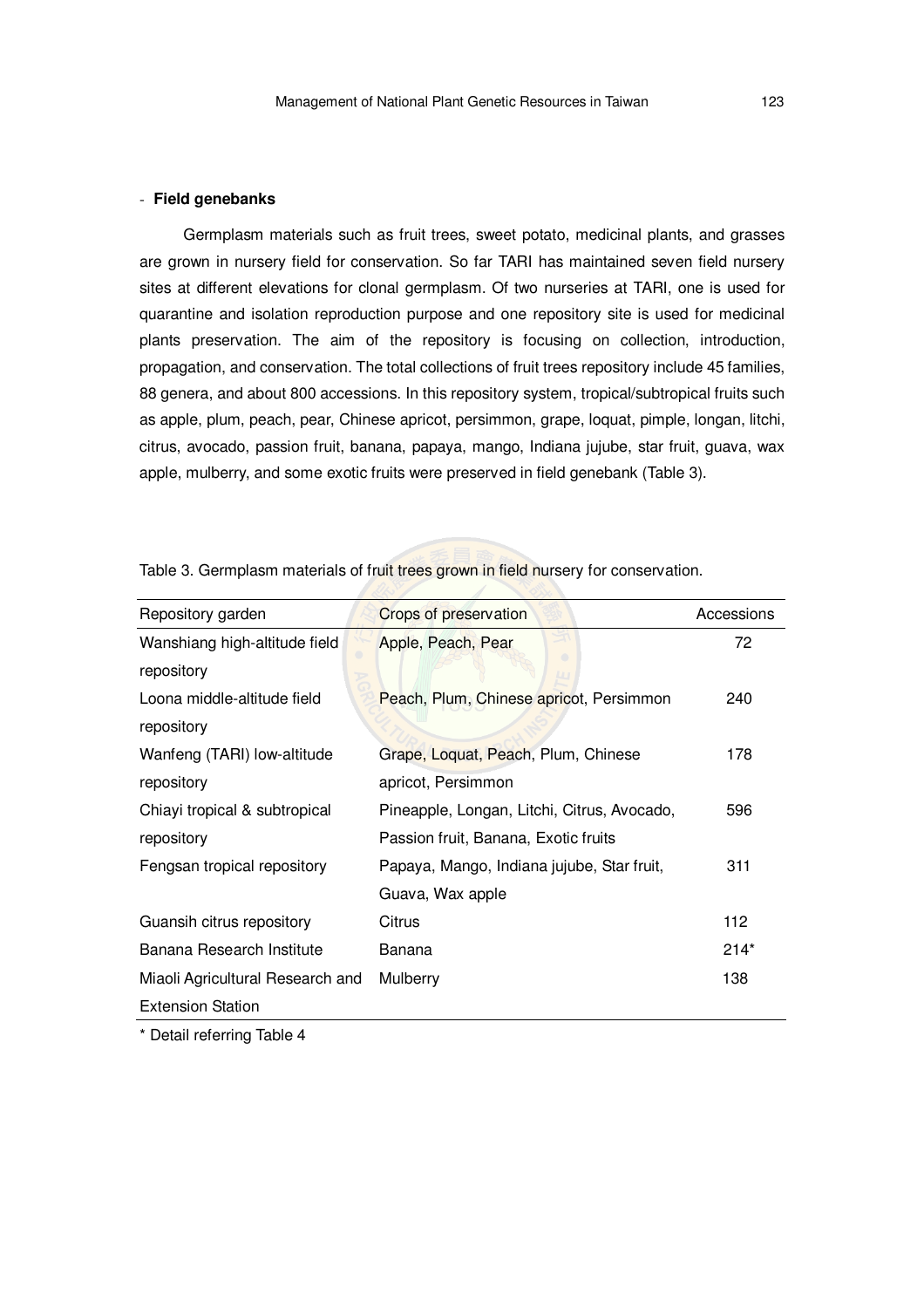## - **Field genebanks**

Germplasm materials such as fruit trees, sweet potato, medicinal plants, and grasses are grown in nursery field for conservation. So far TARI has maintained seven field nursery sites at different elevations for clonal germplasm. Of two nurseries at TARI, one is used for quarantine and isolation reproduction purpose and one repository site is used for medicinal plants preservation. The aim of the repository is focusing on collection, introduction, propagation, and conservation. The total collections of fruit trees repository include 45 families, 88 genera, and about 800 accessions. In this repository system, tropical/subtropical fruits such as apple, plum, peach, pear, Chinese apricot, persimmon, grape, loquat, pimple, longan, litchi, citrus, avocado, passion fruit, banana, papaya, mango, Indiana jujube, star fruit, guava, wax apple, mulberry, and some exotic fruits were preserved in field genebank (Table 3).

| Repository garden                | Crops of preservation                       | Accessions |
|----------------------------------|---------------------------------------------|------------|
| Wanshiang high-altitude field    | Apple, Peach, Pear                          | 72         |
| repository                       |                                             |            |
| Loona middle-altitude field      | Peach, Plum, Chinese apricot, Persimmon     | 240        |
| repository                       |                                             |            |
| Wanfeng (TARI) low-altitude      | Grape, Loquat, Peach, Plum, Chinese         | 178        |
| repository                       | apricot, Persimmon                          |            |
| Chiayi tropical & subtropical    | Pineapple, Longan, Litchi, Citrus, Avocado, | 596        |
| repository                       | Passion fruit, Banana, Exotic fruits        |            |
| Fengsan tropical repository      | Papaya, Mango, Indiana jujube, Star fruit,  | 311        |
|                                  | Guava, Wax apple                            |            |
| Guansih citrus repository        | Citrus                                      | 112        |
| Banana Research Institute        | Banana                                      | $214*$     |
| Miaoli Agricultural Research and | Mulberry                                    | 138        |
| <b>Extension Station</b>         |                                             |            |

Table 3. Germplasm materials of fruit trees grown in field nursery for conservation.

\* Detail referring Table 4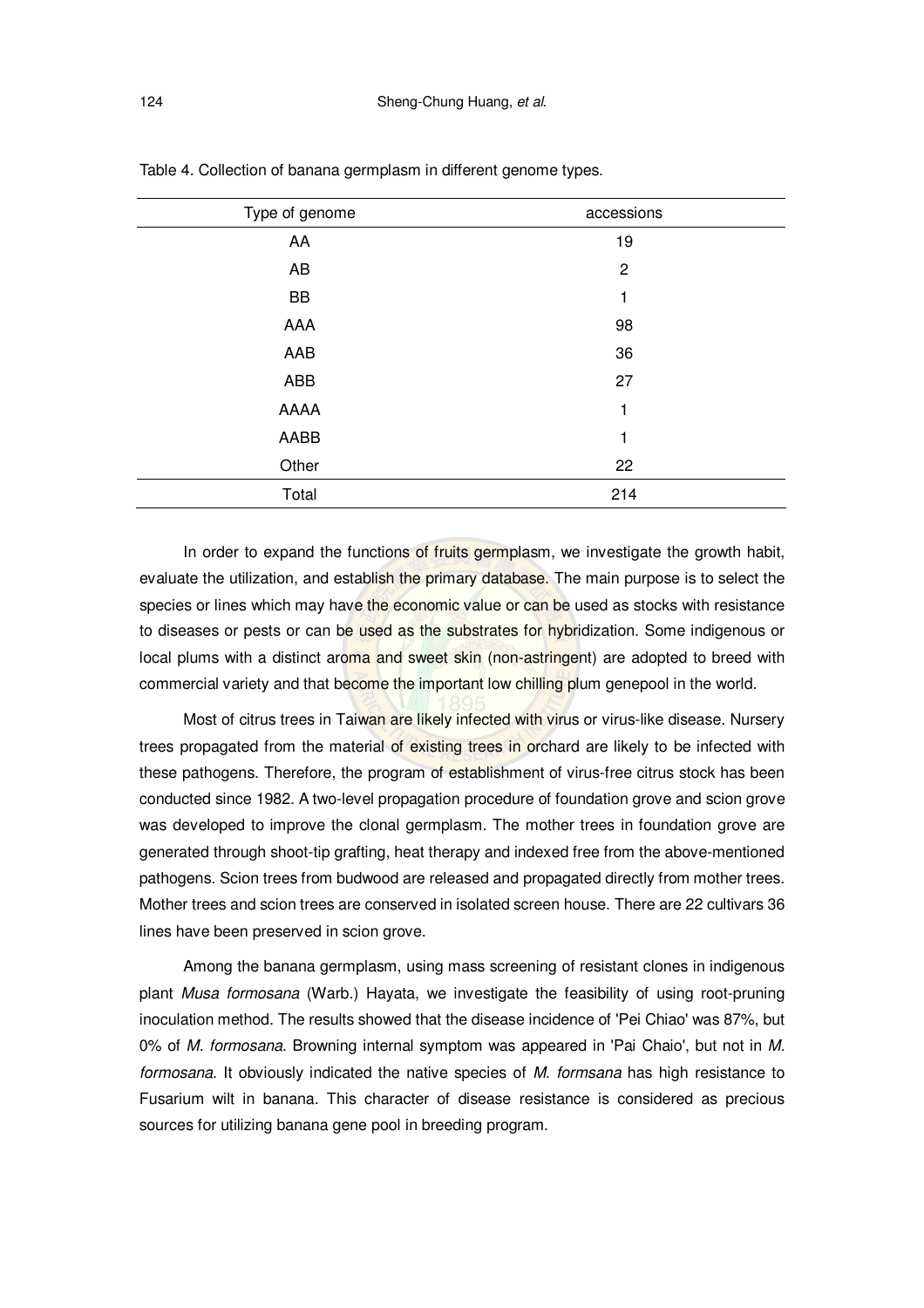| Type of genome | accessions     |
|----------------|----------------|
| AA             | 19             |
| AB             | $\overline{c}$ |
| BB             | 1              |
| AAA            | 98             |
| AAB            | 36             |
| ABB            | 27             |
| AAAA           | 1              |
| AABB           | 1              |
| Other          | 22             |
| Total          | 214            |

Table 4. Collection of banana germplasm in different genome types.

In order to expand the functions of fruits germplasm, we investigate the growth habit, evaluate the utilization, and establish the primary database. The main purpose is to select the species or lines which may have the economic value or can be used as stocks with resistance to diseases or pests or can be used as the substrates for hybridization. Some indigenous or local plums with a distinct aroma and sweet skin (non-astringent) are adopted to breed with commercial variety and that become the important low chilling plum genepool in the world.

Most of citrus trees in Taiwan are likely infected with virus or virus-like disease. Nursery trees propagated from the material of existing trees in orchard are likely to be infected with these pathogens. Therefore, the program of establishment of virus-free citrus stock has been conducted since 1982. A two-level propagation procedure of foundation grove and scion grove was developed to improve the clonal germplasm. The mother trees in foundation grove are generated through shoot-tip grafting, heat therapy and indexed free from the above-mentioned pathogens. Scion trees from budwood are released and propagated directly from mother trees. Mother trees and scion trees are conserved in isolated screen house. There are 22 cultivars 36 lines have been preserved in scion grove.

Among the banana germplasm, using mass screening of resistant clones in indigenous plant *Musa formosana* (Warb.) Hayata, we investigate the feasibility of using root-pruning inoculation method. The results showed that the disease incidence of 'Pei Chiao' was 87%, but 0% of *M. formosana*. Browning internal symptom was appeared in 'Pai Chaio', but not in *M. formosana*. It obviously indicated the native species of *M. formsana* has high resistance to Fusarium wilt in banana. This character of disease resistance is considered as precious sources for utilizing banana gene pool in breeding program.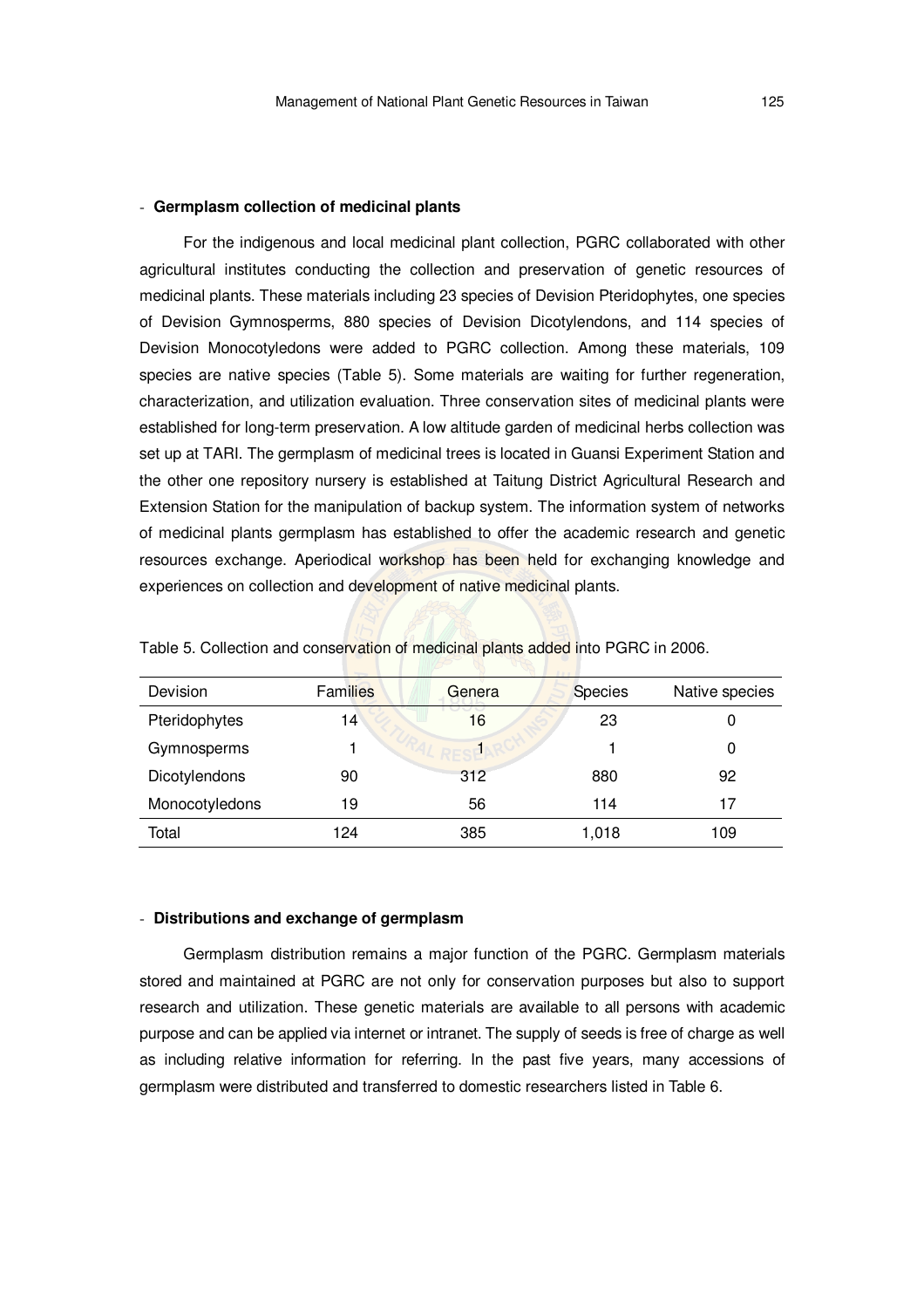#### - **Germplasm collection of medicinal plants**

For the indigenous and local medicinal plant collection, PGRC collaborated with other agricultural institutes conducting the collection and preservation of genetic resources of medicinal plants. These materials including 23 species of Devision Pteridophytes, one species of Devision Gymnosperms, 880 species of Devision Dicotylendons, and 114 species of Devision Monocotyledons were added to PGRC collection. Among these materials, 109 species are native species (Table 5). Some materials are waiting for further regeneration, characterization, and utilization evaluation. Three conservation sites of medicinal plants were established for long-term preservation. A low altitude garden of medicinal herbs collection was set up at TARI. The germplasm of medicinal trees is located in Guansi Experiment Station and the other one repository nursery is established at Taitung District Agricultural Research and Extension Station for the manipulation of backup system. The information system of networks of medicinal plants germplasm has established to offer the academic research and genetic resources exchange. Aperiodical workshop has been held for exchanging knowledge and experiences on collection and development of native medicinal plants.

| Devision       | <b>Families</b> | Genera | <b>Species</b> | Native species |
|----------------|-----------------|--------|----------------|----------------|
| Pteridophytes  | 14              | 16     | 23             | 0              |
| Gymnosperms    |                 |        |                | 0              |
| Dicotylendons  | 90              | 312    | 880            | 92             |
| Monocotyledons | 19              | 56     | 114            | 17             |
| Total          | 124             | 385    | 1,018          | 109            |

 $\blacksquare$   $\blacksquare$   $\blacksquare$   $\blacksquare$   $\blacksquare$   $\blacksquare$ 

Table 5. Collection and conservation of medicinal plants added into PGRC in 2006.

#### - **Distributions and exchange of germplasm**

Germplasm distribution remains a major function of the PGRC. Germplasm materials stored and maintained at PGRC are not only for conservation purposes but also to support research and utilization. These genetic materials are available to all persons with academic purpose and can be applied via internet or intranet. The supply of seeds is free of charge as well as including relative information for referring. In the past five years, many accessions of germplasm were distributed and transferred to domestic researchers listed in Table 6.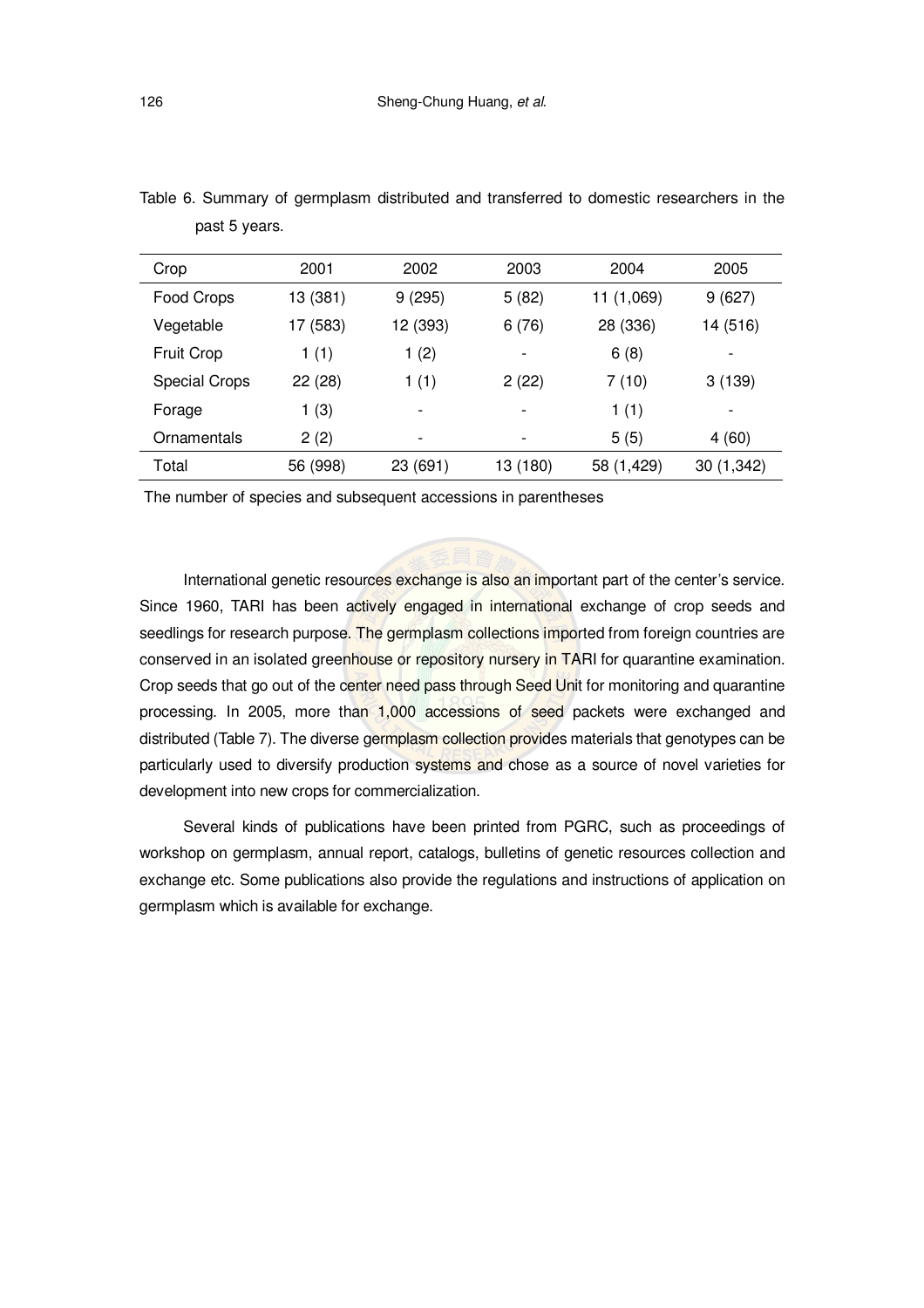| Crop                 | 2001     | 2002                     | 2003     | 2004       | 2005                     |
|----------------------|----------|--------------------------|----------|------------|--------------------------|
| Food Crops           | 13 (381) | 9(295)                   | 5(82)    | 11 (1,069) | 9(627)                   |
| Vegetable            | 17 (583) | 12 (393)                 | 6(76)    | 28 (336)   | 14 (516)                 |
| <b>Fruit Crop</b>    | 1(1)     | 1(2)                     | ٠        | 6(8)       | $\overline{\phantom{a}}$ |
| <b>Special Crops</b> | 22 (28)  | 1(1)                     | 2(22)    | 7(10)      | 3(139)                   |
| Forage               | 1(3)     |                          |          | 1(1)       | $\overline{\phantom{a}}$ |
| Ornamentals          | 2(2)     | $\overline{\phantom{a}}$ |          | 5(5)       | 4(60)                    |
| Total                | 56 (998) | 23 (691)                 | 13 (180) | 58 (1,429) | 30 (1,342)               |

Table 6. Summary of germplasm distributed and transferred to domestic researchers in the past 5 years.

The number of species and subsequent accessions in parentheses

International genetic resources exchange is also an important part of the center's service. Since 1960, TARI has been actively engaged in international exchange of crop seeds and seedlings for research purpose. The germplasm collections imported from foreign countries are conserved in an isolated greenhouse or repository nursery in TARI for quarantine examination. Crop seeds that go out of the center need pass through Seed Unit for monitoring and quarantine processing. In 2005, more than 1,000 accessions of seed packets were exchanged and distributed (Table 7). The diverse germplasm collection provides materials that genotypes can be particularly used to diversify production systems and chose as a source of novel varieties for development into new crops for commercialization.

Several kinds of publications have been printed from PGRC, such as proceedings of workshop on germplasm, annual report, catalogs, bulletins of genetic resources collection and exchange etc. Some publications also provide the regulations and instructions of application on germplasm which is available for exchange.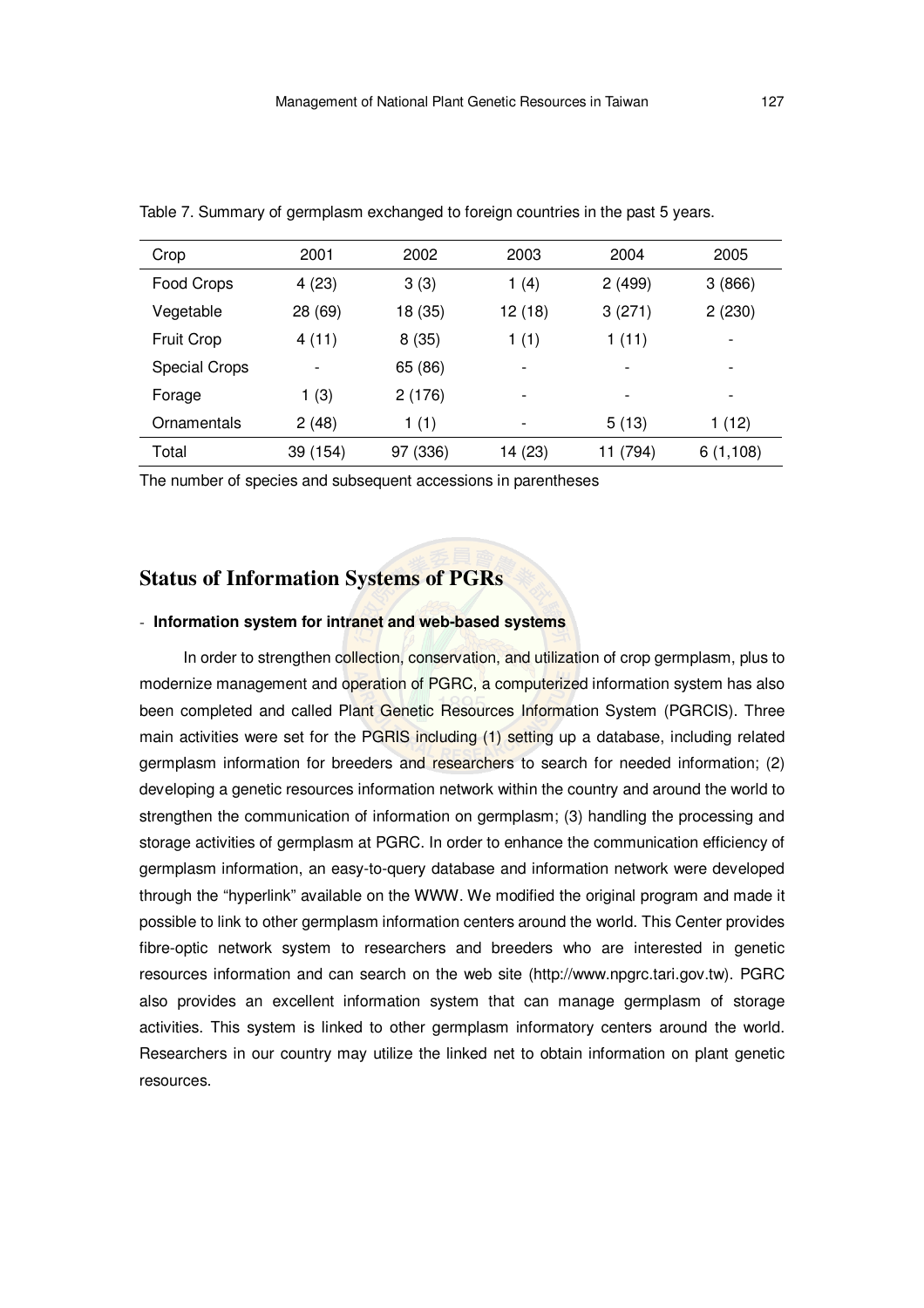| Crop                 | 2001     | 2002     | 2003    | 2004     | 2005     |
|----------------------|----------|----------|---------|----------|----------|
| Food Crops           | 4(23)    | 3(3)     | 1(4)    | 2(499)   | 3(866)   |
| Vegetable            | 28 (69)  | 18 (35)  | 12 (18) | 3(271)   | 2(230)   |
| <b>Fruit Crop</b>    | 4(11)    | 8(35)    | 1(1)    | 1(11)    |          |
| <b>Special Crops</b> |          | 65 (86)  |         |          |          |
| Forage               | 1(3)     | 2(176)   |         |          |          |
| Ornamentals          | 2(48)    | 1(1)     |         | 5(13)    | 1 (12)   |
| Total                | 39 (154) | 97 (336) | 14 (23) | 11 (794) | 6(1,108) |

Table 7. Summary of germplasm exchanged to foreign countries in the past 5 years.

The number of species and subsequent accessions in parentheses

# **Status of Information Systems of PGRs**

# - **Information system for intranet and web-based systems**

In order to strengthen collection, conservation, and utilization of crop germplasm, plus to modernize management and operation of PGRC, a computerized information system has also been completed and called Plant Genetic Resources Information System (PGRCIS). Three main activities were set for the PGRIS including (1) setting up a database, including related germplasm information for breeders and researchers to search for needed information; (2) developing a genetic resources information network within the country and around the world to strengthen the communication of information on germplasm; (3) handling the processing and storage activities of germplasm at PGRC. In order to enhance the communication efficiency of germplasm information, an easy-to-query database and information network were developed through the "hyperlink" available on the WWW. We modified the original program and made it possible to link to other germplasm information centers around the world. This Center provides fibre-optic network system to researchers and breeders who are interested in genetic resources information and can search on the web site (http://www.npgrc.tari.gov.tw). PGRC also provides an excellent information system that can manage germplasm of storage activities. This system is linked to other germplasm informatory centers around the world. Researchers in our country may utilize the linked net to obtain information on plant genetic resources.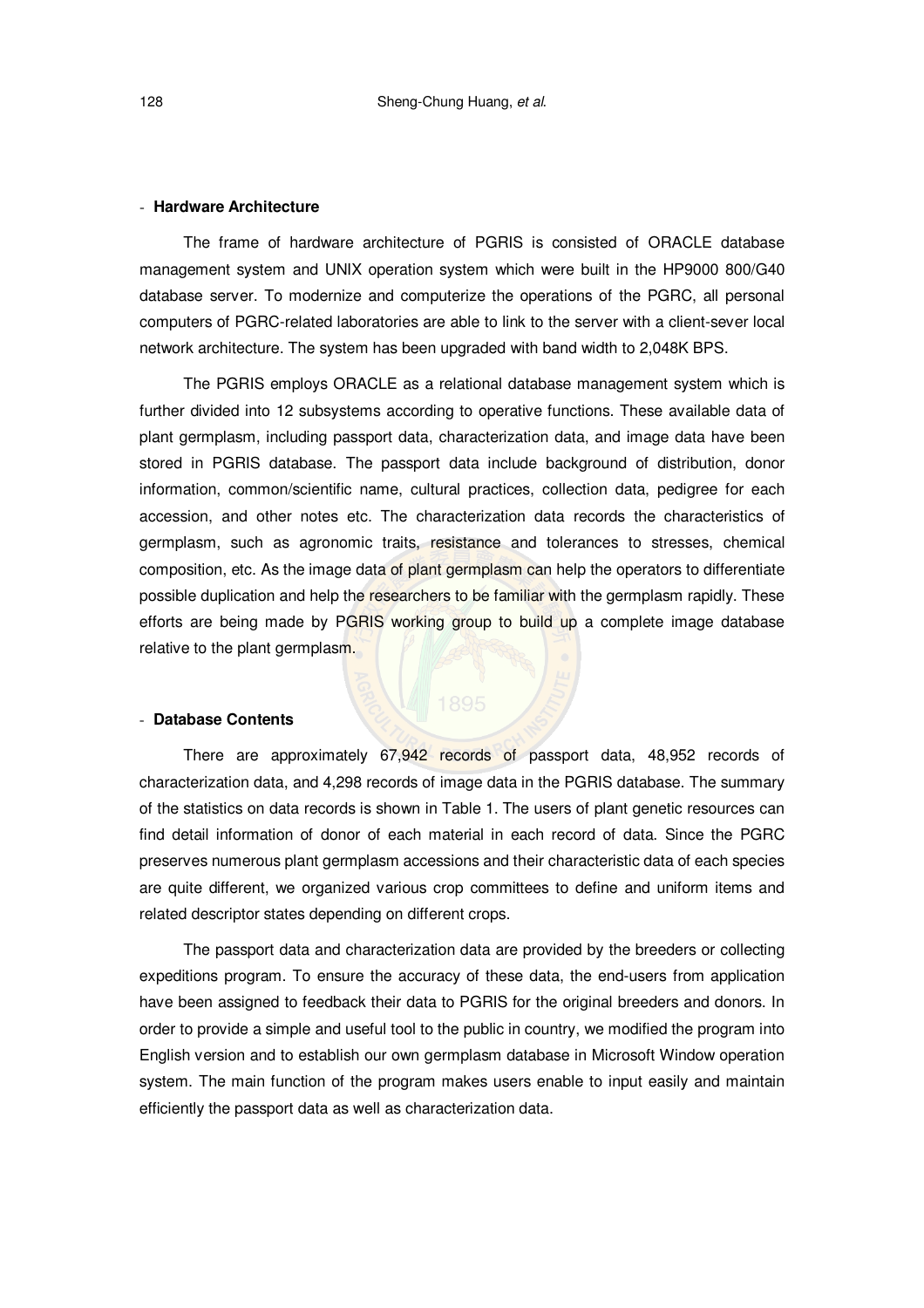#### - **Hardware Architecture**

The frame of hardware architecture of PGRIS is consisted of ORACLE database management system and UNIX operation system which were built in the HP9000 800/G40 database server. To modernize and computerize the operations of the PGRC, all personal computers of PGRC-related laboratories are able to link to the server with a client-sever local network architecture. The system has been upgraded with band width to 2,048K BPS.

The PGRIS employs ORACLE as a relational database management system which is further divided into 12 subsystems according to operative functions. These available data of plant germplasm, including passport data, characterization data, and image data have been stored in PGRIS database. The passport data include background of distribution, donor information, common/scientific name, cultural practices, collection data, pedigree for each accession, and other notes etc. The characterization data records the characteristics of germplasm, such as agronomic traits, resistance and tolerances to stresses, chemical composition, etc. As the image data of plant germplasm can help the operators to differentiate possible duplication and help the researchers to be familiar with the germplasm rapidly. These efforts are being made by PGRIS working group to build up a complete image database relative to the plant germplasm.

## - **Database Contents**

There are approximately 67,942 records of passport data, 48,952 records of characterization data, and 4,298 records of image data in the PGRIS database. The summary of the statistics on data records is shown in Table 1. The users of plant genetic resources can find detail information of donor of each material in each record of data. Since the PGRC preserves numerous plant germplasm accessions and their characteristic data of each species are quite different, we organized various crop committees to define and uniform items and related descriptor states depending on different crops.

The passport data and characterization data are provided by the breeders or collecting expeditions program. To ensure the accuracy of these data, the end-users from application have been assigned to feedback their data to PGRIS for the original breeders and donors. In order to provide a simple and useful tool to the public in country, we modified the program into English version and to establish our own germplasm database in Microsoft Window operation system. The main function of the program makes users enable to input easily and maintain efficiently the passport data as well as characterization data.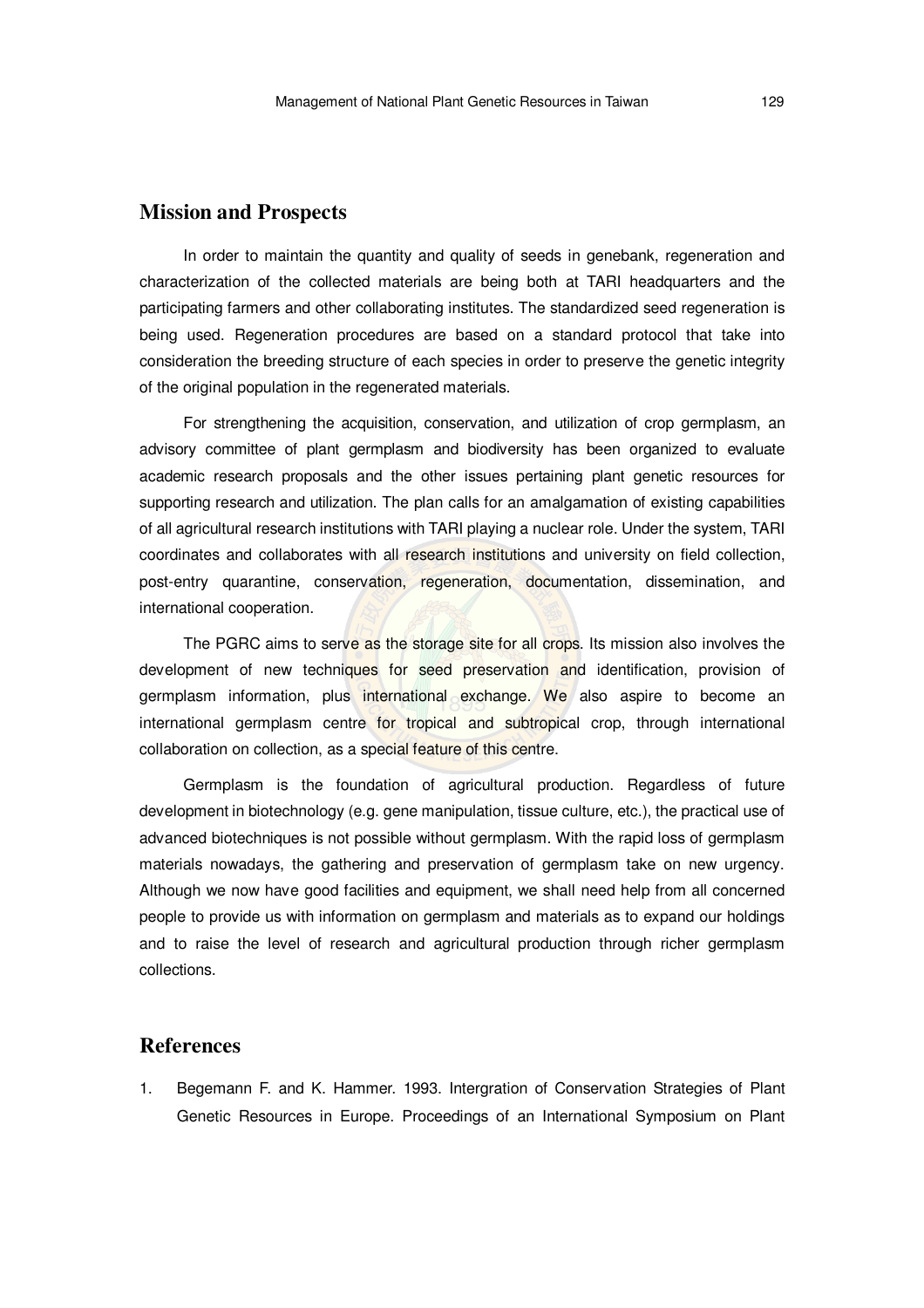# **Mission and Prospects**

In order to maintain the quantity and quality of seeds in genebank, regeneration and characterization of the collected materials are being both at TARI headquarters and the participating farmers and other collaborating institutes. The standardized seed regeneration is being used. Regeneration procedures are based on a standard protocol that take into consideration the breeding structure of each species in order to preserve the genetic integrity of the original population in the regenerated materials.

For strengthening the acquisition, conservation, and utilization of crop germplasm, an advisory committee of plant germplasm and biodiversity has been organized to evaluate academic research proposals and the other issues pertaining plant genetic resources for supporting research and utilization. The plan calls for an amalgamation of existing capabilities of all agricultural research institutions with TARI playing a nuclear role. Under the system, TARI coordinates and collaborates with all research institutions and university on field collection, post-entry quarantine, conservation, regeneration, documentation, dissemination, and international cooperation.

The PGRC aims to serve as the storage site for all crops. Its mission also involves the development of new techniques for seed preservation and identification, provision of germplasm information, plus international exchange. We also aspire to become an international germplasm centre for tropical and subtropical crop, through international collaboration on collection, as a special feature of this centre.

Germplasm is the foundation of agricultural production. Regardless of future development in biotechnology (e.g. gene manipulation, tissue culture, etc.), the practical use of advanced biotechniques is not possible without germplasm. With the rapid loss of germplasm materials nowadays, the gathering and preservation of germplasm take on new urgency. Although we now have good facilities and equipment, we shall need help from all concerned people to provide us with information on germplasm and materials as to expand our holdings and to raise the level of research and agricultural production through richer germplasm collections.

# **References**

1. Begemann F. and K. Hammer. 1993. Intergration of Conservation Strategies of Plant Genetic Resources in Europe. Proceedings of an International Symposium on Plant